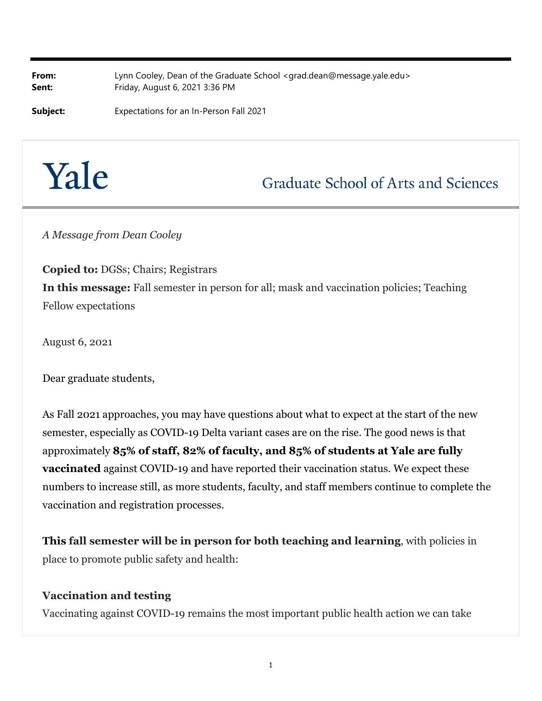**From:** Lynn Cooley, Dean of the Graduate School <grad.dean@message.yale.edu> **Sent:** Friday, August 6, 2021 3:36 PM

**Subject:** Expectations for an In-Person Fall 2021

# Yale

**Graduate School of Arts and Sciences** 

*A Message from Dean Cooley*

**Copied to:** DGSs; Chairs; Registrars **In this message:** Fall semester in person for all; mask and vaccination policies; Teaching Fellow expectations

August 6, 2021

Dear graduate students,

As Fall 2021 approaches, you may have questions about what to expect at the start of the new semester, especially as COVID-19 Delta variant cases are on the rise. The good news is that approximately **85% of staff, 82% of faculty, and 85% of students at Yale are fully vaccinated** against COVID-19 and have reported their vaccination status. We expect these numbers to increase still, as more students, faculty, and staff members continue to complete the vaccination and registration processes.

**This fall semester will be in person for both teaching and learning**, with policies in place to promote public safety and health:

#### **Vaccination and testing**

Vaccinating against COVID-19 remains the most important public health action we can take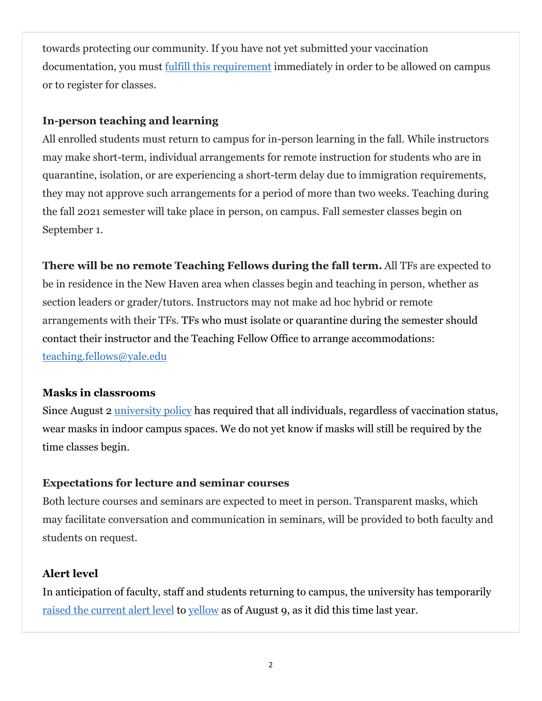towards protecting our community. If you have not yet submitted your vaccination documentation, you must fulfill this requirement immediately in order to be allowed on campus or to register for classes.

### **In-person teaching and learning**

All enrolled students must return to campus for in-person learning in the fall. While instructors may make short-term, individual arrangements for remote instruction for students who are in quarantine, isolation, or are experiencing a short-term delay due to immigration requirements, they may not approve such arrangements for a period of more than two weeks. Teaching during the fall 2021 semester will take place in person, on campus. Fall semester classes begin on September 1.

**There will be no remote Teaching Fellows during the fall term.** All TFs are expected to be in residence in the New Haven area when classes begin and teaching in person, whether as section leaders or grader/tutors. Instructors may not make ad hoc hybrid or remote arrangements with their TFs. TFs who must isolate or quarantine during the semester should contact their instructor and the Teaching Fellow Office to arrange accommodations: teaching.fellows@yale.edu

### **Masks in classrooms**

Since August 2 university policy has required that all individuals, regardless of vaccination status, wear masks in indoor campus spaces. We do not yet know if masks will still be required by the time classes begin.

## **Expectations for lecture and seminar courses**

Both lecture courses and seminars are expected to meet in person. Transparent masks, which may facilitate conversation and communication in seminars, will be provided to both faculty and students on request.

## **Alert level**

In anticipation of faculty, staff and students returning to campus, the university has temporarily raised the current alert level to yellow as of August 9, as it did this time last year.